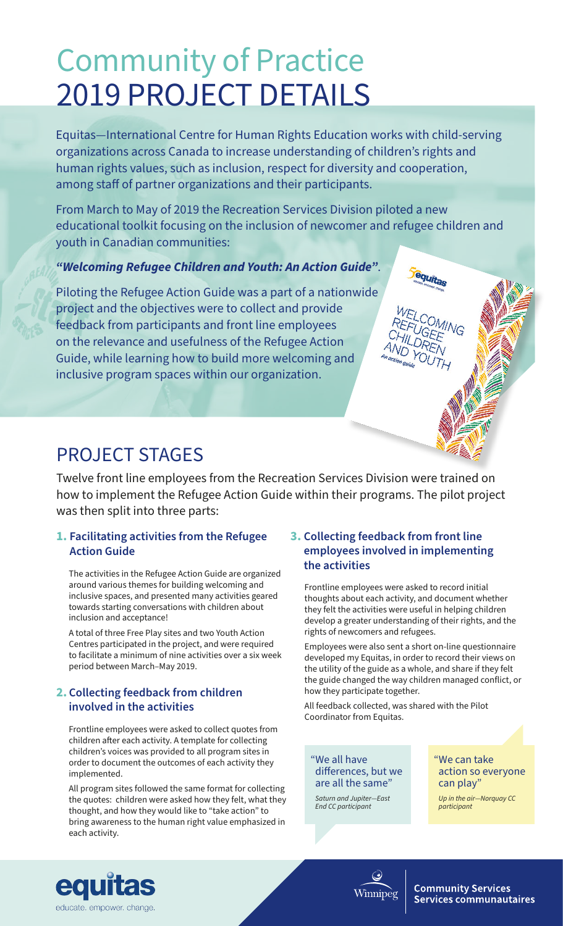# Community of Practice 2019 PROJECT DETAILS

Equitas—International Centre for Human Rights Education works with child-serving organizations across Canada to increase understanding of children's rights and human rights values, such as inclusion, respect for diversity and cooperation, among staff of partner organizations and their participants.

From March to May of 2019 the Recreation Services Division piloted a new educational toolkit focusing on the inclusion of newcomer and refugee children and youth in Canadian communities:

#### *"Welcoming Refugee Children and Youth: An Action Guide"*.

Piloting the Refugee Action Guide was a part of a nationwide project and the objectives were to collect and provide feedback from participants and front line employees on the relevance and usefulness of the Refugee Action Guide, while learning how to build more welcoming and inclusive program spaces within our organization.

### PROJECT STAGES

Twelve front line employees from the Recreation Services Division were trained on how to implement the Refugee Action Guide within their programs. The pilot project was then split into three parts:

#### **1. Facilitating activities from the Refugee Action Guide**

The activities in the Refugee Action Guide are organized around various themes for building welcoming and inclusive spaces, and presented many activities geared towards starting conversations with children about inclusion and acceptance!

A total of three Free Play sites and two Youth Action Centres participated in the project, and were required to facilitate a minimum of nine activities over a six week period between March–May 2019.

#### **2. Collecting feedback from children involved in the activities**

Frontline employees were asked to collect quotes from children after each activity. A template for collecting children's voices was provided to all program sites in order to document the outcomes of each activity they implemented.

All program sites followed the same format for collecting the quotes: children were asked how they felt, what they thought, and how they would like to "take action" to bring awareness to the human right value emphasized in each activity.

#### **3. Collecting feedback from front line employees involved in implementing the activities**

Frontline employees were asked to record initial thoughts about each activity, and document whether they felt the activities were useful in helping children develop a greater understanding of their rights, and the rights of newcomers and refugees.

equitas

Employees were also sent a short on-line questionnaire developed my Equitas, in order to record their views on the utility of the guide as a whole, and share if they felt the guide changed the way children managed conflict, or how they participate together.

All feedback collected, was shared with the Pilot Coordinator from Equitas.

"We all have differences, but we are all the same"

*Saturn and Jupiter—East End CC participant* 

Winnipèg

"We can take action so everyone can play"

*Up in the air—Norquay CC participant* 



**Community Services Services communautaires**